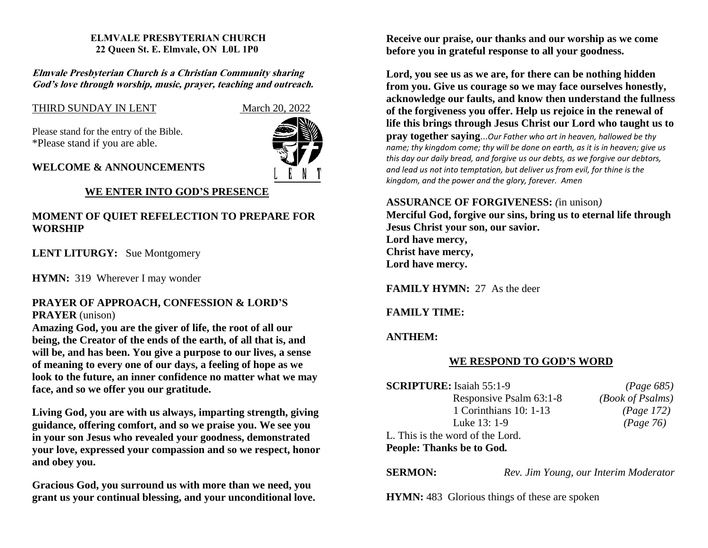#### **ELMVALE PRESBYTERIAN CHURCH 22 Queen St. E. Elmvale, ON L0L 1P0**

#### **Elmvale Presbyterian Church is <sup>a</sup> Christian Community sharing God'<sup>s</sup> love through worship, music, prayer, teaching and outreach.**

# THIRD SUNDAY IN LENT March 20, 2022

Please stand for the entry of the Bible. \*Please stand if you are able.



## **WELCOME & ANNOUNCEMENTS**

# **WE ENTER INTO GOD'S PRESENCE**

# **MOMENT OF QUIET REFELECTION TO PREPARE FOR WORSHIP**

**LENT LITURGY:** Sue Montgomery

**HYMN:** 319 Wherever I may wonder

## **PRAYER OF APPROACH, CONFESSION & LORD'S PRAYER** (unison)

**Amazing God, you are the giver of life, the root of all our being, the Creator of the ends of the earth, of all that is, and will be, and has been. You give a purpose to our lives, a sense of meaning to every one of our days, a feeling of hope as we look to the future, an inner confidence no matter what we may face, and so we offer you our gratitude.**

**Living God, you are with us always, imparting strength, giving guidance, offering comfort, and so we praise you. We see you in your son Jesus who revealed your goodness, demonstrated your love, expressed your compassion and so we respect, honor and obey you.**

**Gracious God, you surround us with more than we need, you grant us your continual blessing, and your unconditional love.** 

**Receive our praise, our thanks and our worship as we come before you in grateful response to all your goodness.**

**Lord, you see us as we are, for there can be nothing hidden from you. Give us courage so we may face ourselves honestly, acknowledge our faults, and know then understand the fullness of the forgiveness you offer. Help us rejoice in the renewal of life this brings through Jesus Christ our Lord who taught us to pray together saying**...*Our Father who art in heaven, hallowed be thy name; thy kingdom come; thy will be done on earth, as it is in heaven; give us this day our daily bread, and forgive us our debts, as we forgive our debtors, and lead us not into temptation, but deliver us from evil, for thine is the kingdom, and the power and the glory, forever. Amen*

## **ASSURANCE OF FORGIVENESS:** *(*in unison*)*

**Merciful God, forgive our sins, bring us to eternal life through Jesus Christ your son, our savior. Lord have mercy, Christ have mercy, Lord have mercy.**

**FAMILY HYMN:** 27 As the deer

# **FAMILY TIME:**

**ANTHEM:** 

# **WE RESPOND TO GOD'S WORD**

| <b>SCRIPTURE:</b> Isaiah 55:1-9  | (Page 685)       |
|----------------------------------|------------------|
| Responsive Psalm 63:1-8          | (Book of Psalms) |
| 1 Corinthians 10: 1-13           | (Page 172)       |
| Luke 13: 1-9                     | (Page 76)        |
| L. This is the word of the Lord. |                  |
| People: Thanks be to God.        |                  |

**SERMON:** *Rev. Jim Young, our Interim Moderator*

**HYMN:** 483 Glorious things of these are spoken